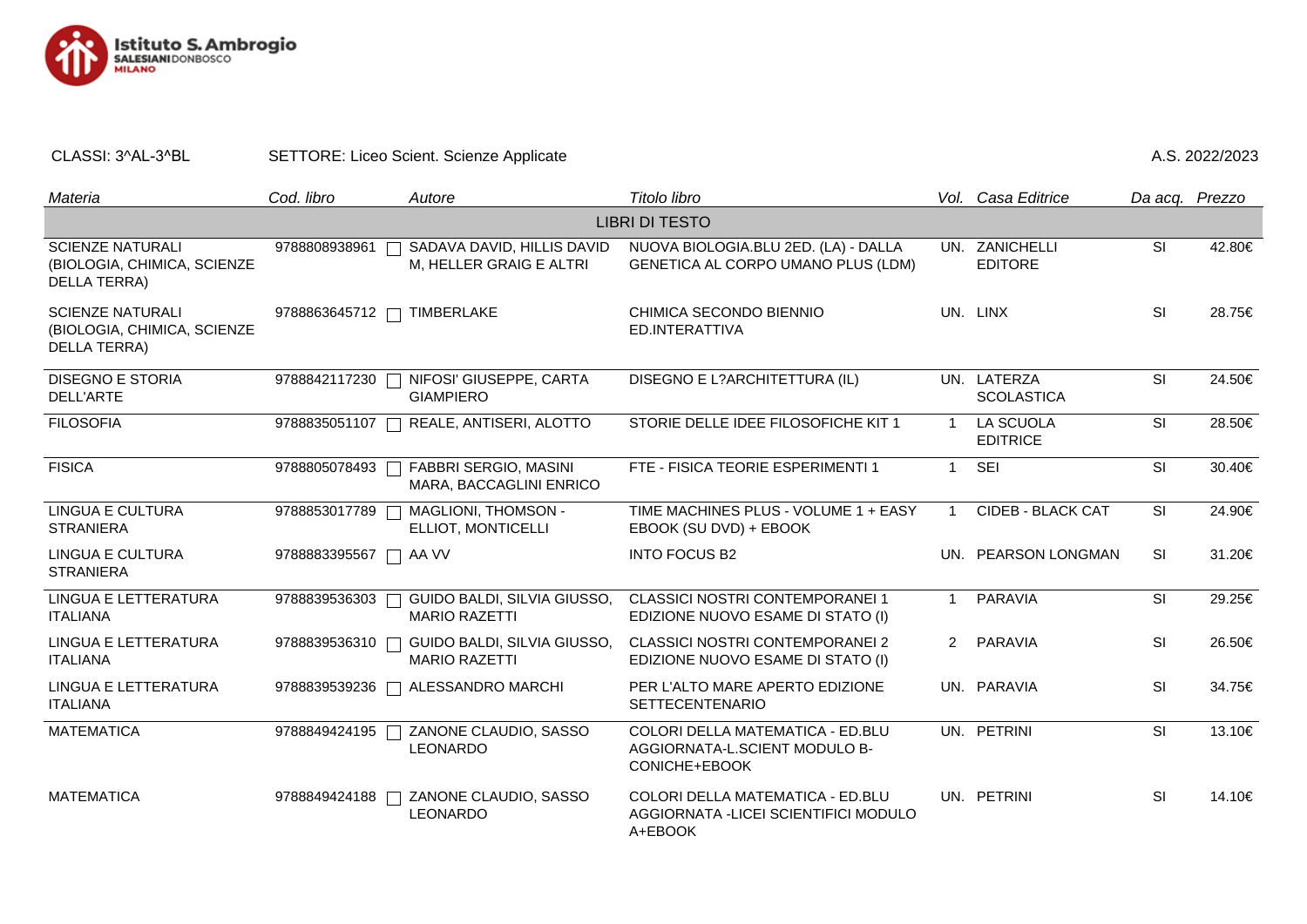

## CLASSI: 3^AL-3^BL SETTORE: Liceo Scient. Scienze Applicate And A.S. 2022/2023

| Materia                                                                | Cod. libro    | Autore                                                  | Titolo libro                                                                         |                | Vol. Casa Editrice               | Da acq. Prezzo |        |  |  |  |
|------------------------------------------------------------------------|---------------|---------------------------------------------------------|--------------------------------------------------------------------------------------|----------------|----------------------------------|----------------|--------|--|--|--|
| <b>LIBRI DI TESTO</b>                                                  |               |                                                         |                                                                                      |                |                                  |                |        |  |  |  |
| <b>SCIENZE NATURALI</b><br>(BIOLOGIA, CHIMICA, SCIENZE<br>DELLA TERRA) | 9788808938961 | SADAVA DAVID, HILLIS DAVID<br>M, HELLER GRAIG E ALTRI   | NUOVA BIOLOGIA.BLU 2ED. (LA) - DALLA<br>GENETICA AL CORPO UMANO PLUS (LDM)           |                | UN. ZANICHELLI<br><b>EDITORE</b> | <b>SI</b>      | 42.80€ |  |  |  |
| <b>SCIENZE NATURALI</b><br>(BIOLOGIA, CHIMICA, SCIENZE<br>DELLA TERRA) | 9788863645712 | <b>TIMBERLAKE</b>                                       | CHIMICA SECONDO BIENNIO<br>ED.INTERATTIVA                                            |                | UN. LINX                         | SI             | 28.75€ |  |  |  |
| <b>DISEGNO E STORIA</b><br>DELL'ARTE                                   | 9788842117230 | NIFOSI' GIUSEPPE, CARTA<br><b>GIAMPIERO</b>             | DISEGNO E L?ARCHITETTURA (IL)                                                        |                | UN. LATERZA<br><b>SCOLASTICA</b> | <b>SI</b>      | 24.50€ |  |  |  |
| <b>FILOSOFIA</b>                                                       | 9788835051107 | REALE, ANTISERI, ALOTTO                                 | STORIE DELLE IDEE FILOSOFICHE KIT 1                                                  | $\overline{1}$ | LA SCUOLA<br><b>EDITRICE</b>     | <b>SI</b>      | 28.50€ |  |  |  |
| <b>FISICA</b>                                                          | 9788805078493 | <b>FABBRI SERGIO, MASINI</b><br>MARA, BACCAGLINI ENRICO | FTE - FISICA TEORIE ESPERIMENTI 1                                                    | $\overline{1}$ | <b>SEI</b>                       | <b>SI</b>      | 30.40€ |  |  |  |
| <b>LINGUA E CULTURA</b><br><b>STRANIERA</b>                            | 9788853017789 | MAGLIONI, THOMSON -<br>ELLIOT, MONTICELLI               | TIME MACHINES PLUS - VOLUME 1 + EASY<br>EBOOK (SU DVD) + EBOOK                       | $\overline{1}$ | CIDEB - BLACK CAT                | <b>SI</b>      | 24.90€ |  |  |  |
| LINGUA E CULTURA<br><b>STRANIERA</b>                                   | 9788883395567 | AA VV                                                   | <b>INTO FOCUS B2</b>                                                                 |                | UN. PEARSON LONGMAN              | <b>SI</b>      | 31.20€ |  |  |  |
| LINGUA E LETTERATURA<br><b>ITALIANA</b>                                | 9788839536303 | GUIDO BALDI, SILVIA GIUSSO,<br><b>MARIO RAZETTI</b>     | CLASSICI NOSTRI CONTEMPORANEI 1<br>EDIZIONE NUOVO ESAME DI STATO (I)                 | $\mathbf{1}$   | PARAVIA                          | <b>SI</b>      | 29.25€ |  |  |  |
| LINGUA E LETTERATURA<br><b>ITALIANA</b>                                | 9788839536310 | GUIDO BALDI, SILVIA GIUSSO,<br><b>MARIO RAZETTI</b>     | <b>CLASSICI NOSTRI CONTEMPORANEI 2</b><br>EDIZIONE NUOVO ESAME DI STATO (I)          | $\overline{2}$ | PARAVIA                          | SI             | 26.50€ |  |  |  |
| LINGUA E LETTERATURA<br><b>ITALIANA</b>                                | 9788839539236 | ALESSANDRO MARCHI                                       | PER L'ALTO MARE APERTO EDIZIONE<br><b>SETTECENTENARIO</b>                            |                | UN. PARAVIA                      | <b>SI</b>      | 34.75€ |  |  |  |
| <b>MATEMATICA</b>                                                      | 9788849424195 | ZANONE CLAUDIO, SASSO<br><b>LEONARDO</b>                | COLORI DELLA MATEMATICA - ED.BLU<br>AGGIORNATA-L.SCIENT MODULO B-<br>CONICHE+EBOOK   |                | UN. PETRINI                      | <b>SI</b>      | 13.10€ |  |  |  |
| <b>MATEMATICA</b>                                                      | 9788849424188 | ZANONE CLAUDIO, SASSO<br><b>LEONARDO</b>                | COLORI DELLA MATEMATICA - ED.BLU<br>AGGIORNATA - LICEI SCIENTIFICI MODULO<br>A+EBOOK |                | UN. PETRINI                      | SI             | 14.10€ |  |  |  |